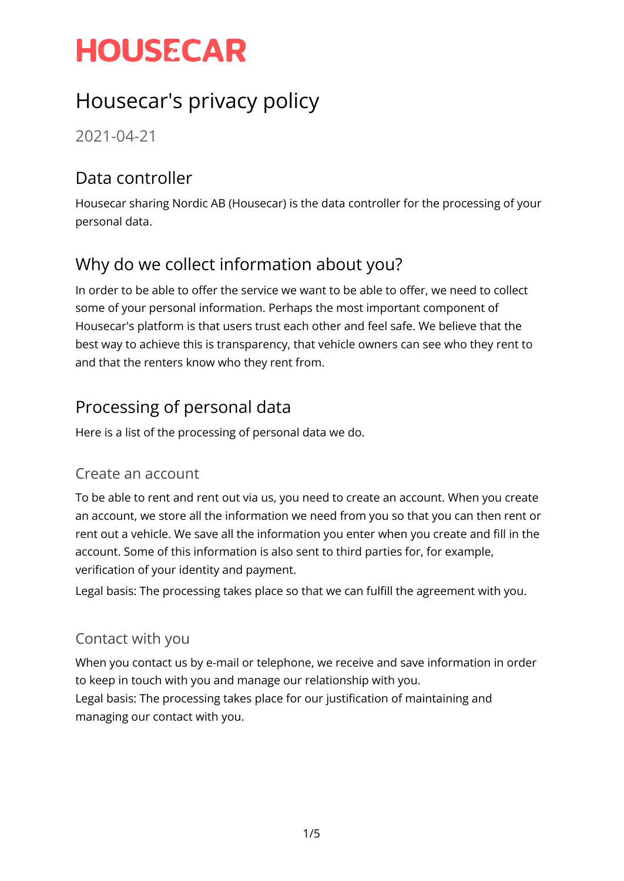## Housecar's privacy policy

2021-04-21

### Data controller

Housecar sharing Nordic AB (Housecar) is the data controller for the processing of your personal data.

## Why do we collect information about you?

In order to be able to offer the service we want to be able to offer, we need to collect some of your personal information. Perhaps the most important component of Housecar's platform is that users trust each other and feel safe. We believe that the best way to achieve this is transparency, that vehicle owners can see who they rent to and that the renters know who they rent from.

### Processing of personal data

Here is a list of the processing of personal data we do.

#### Create an account

To be able to rent and rent out via us, you need to create an account. When you create an account, we store all the information we need from you so that you can then rent or rent out a vehicle. We save all the information you enter when you create and fill in the account. Some of this information is also sent to third parties for, for example, verification of your identity and payment.

Legal basis: The processing takes place so that we can fulfill the agreement with you.

#### Contact with you

When you contact us by e-mail or telephone, we receive and save information in order to keep in touch with you and manage our relationship with you. Legal basis: The processing takes place for our justification of maintaining and managing our contact with you.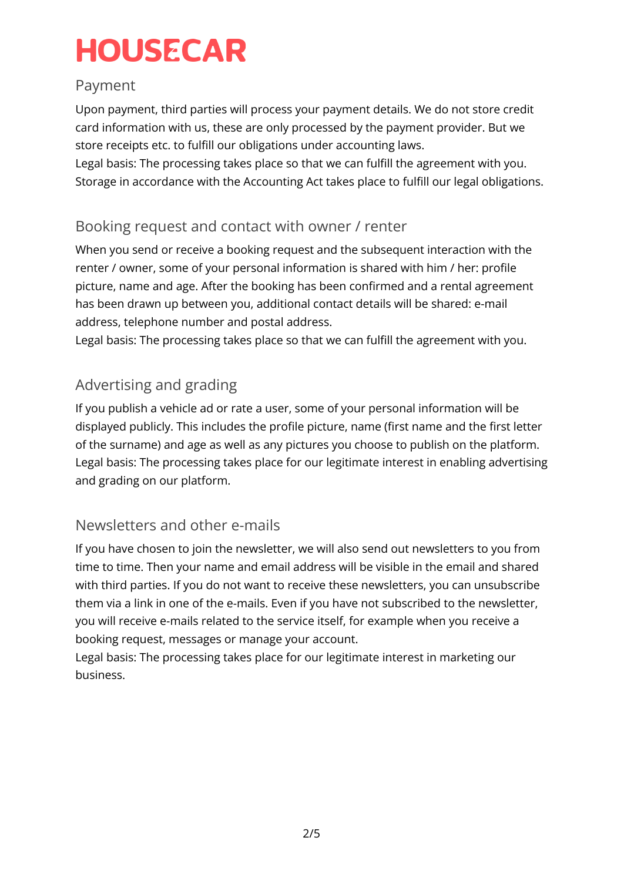#### Payment

Upon payment, third parties will process your payment details. We do not store credit card information with us, these are only processed by the payment provider. But we store receipts etc. to fulfill our obligations under accounting laws.

Legal basis: The processing takes place so that we can fulfill the agreement with you. Storage in accordance with the Accounting Act takes place to fulfill our legal obligations.

#### Booking request and contact with owner / renter

When you send or receive a booking request and the subsequent interaction with the renter / owner, some of your personal information is shared with him / her: profile picture, name and age. After the booking has been confirmed and a rental agreement has been drawn up between you, additional contact details will be shared: e-mail address, telephone number and postal address.

Legal basis: The processing takes place so that we can fulfill the agreement with you.

#### Advertising and grading

If you publish a vehicle ad or rate a user, some of your personal information will be displayed publicly. This includes the profile picture, name (first name and the first letter of the surname) and age as well as any pictures you choose to publish on the platform. Legal basis: The processing takes place for our legitimate interest in enabling advertising and grading on our platform.

#### Newsletters and other e-mails

If you have chosen to join the newsletter, we will also send out newsletters to you from time to time. Then your name and email address will be visible in the email and shared with third parties. If you do not want to receive these newsletters, you can unsubscribe them via a link in one of the e-mails. Even if you have not subscribed to the newsletter, you will receive e-mails related to the service itself, for example when you receive a booking request, messages or manage your account.

Legal basis: The processing takes place for our legitimate interest in marketing our business.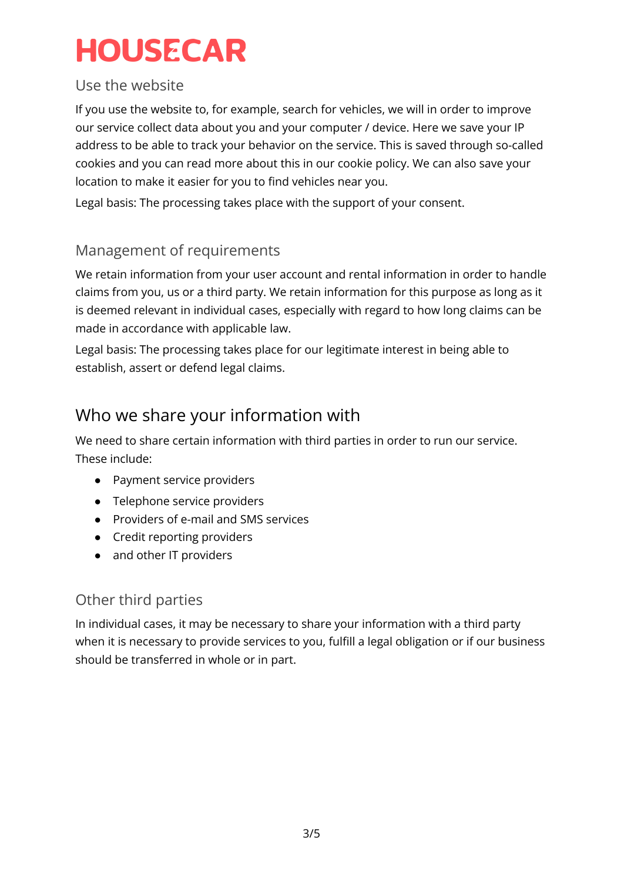#### Use the website

If you use the website to, for example, search for vehicles, we will in order to improve our service collect data about you and your computer / device. Here we save your IP address to be able to track your behavior on the service. This is saved through so-called cookies and you can read more about this in our cookie policy. We can also save your location to make it easier for you to find vehicles near you.

Legal basis: The processing takes place with the support of your consent.

#### Management of requirements

We retain information from your user account and rental information in order to handle claims from you, us or a third party. We retain information for this purpose as long as it is deemed relevant in individual cases, especially with regard to how long claims can be made in accordance with applicable law.

Legal basis: The processing takes place for our legitimate interest in being able to establish, assert or defend legal claims.

### Who we share your information with

We need to share certain information with third parties in order to run our service. These include:

- Payment service providers
- Telephone service providers
- Providers of e-mail and SMS services
- Credit reporting providers
- and other IT providers

#### Other third parties

In individual cases, it may be necessary to share your information with a third party when it is necessary to provide services to you, fulfill a legal obligation or if our business should be transferred in whole or in part.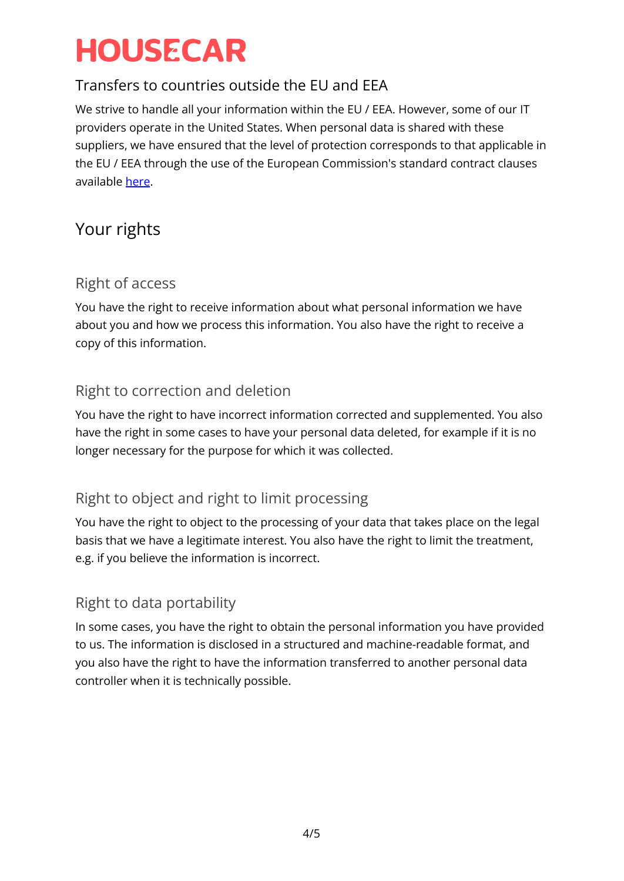#### Transfers to countries outside the EU and EEA

We strive to handle all your information within the EU / EEA. However, some of our IT providers operate in the United States. When personal data is shared with these suppliers, we have ensured that the level of protection corresponds to that applicable in the EU / EEA through the use of the European Commission's standard contract clauses available [here](https://ec.europa.eu/info/law/law-topic/data-protection/international-dimension-data-protection/standard-contractual-clauses-scc_en).

### Your rights

#### Right of access

You have the right to receive information about what personal information we have about you and how we process this information. You also have the right to receive a copy of this information.

#### Right to correction and deletion

You have the right to have incorrect information corrected and supplemented. You also have the right in some cases to have your personal data deleted, for example if it is no longer necessary for the purpose for which it was collected.

#### Right to object and right to limit processing

You have the right to object to the processing of your data that takes place on the legal basis that we have a legitimate interest. You also have the right to limit the treatment, e.g. if you believe the information is incorrect.

#### Right to data portability

In some cases, you have the right to obtain the personal information you have provided to us. The information is disclosed in a structured and machine-readable format, and you also have the right to have the information transferred to another personal data controller when it is technically possible.